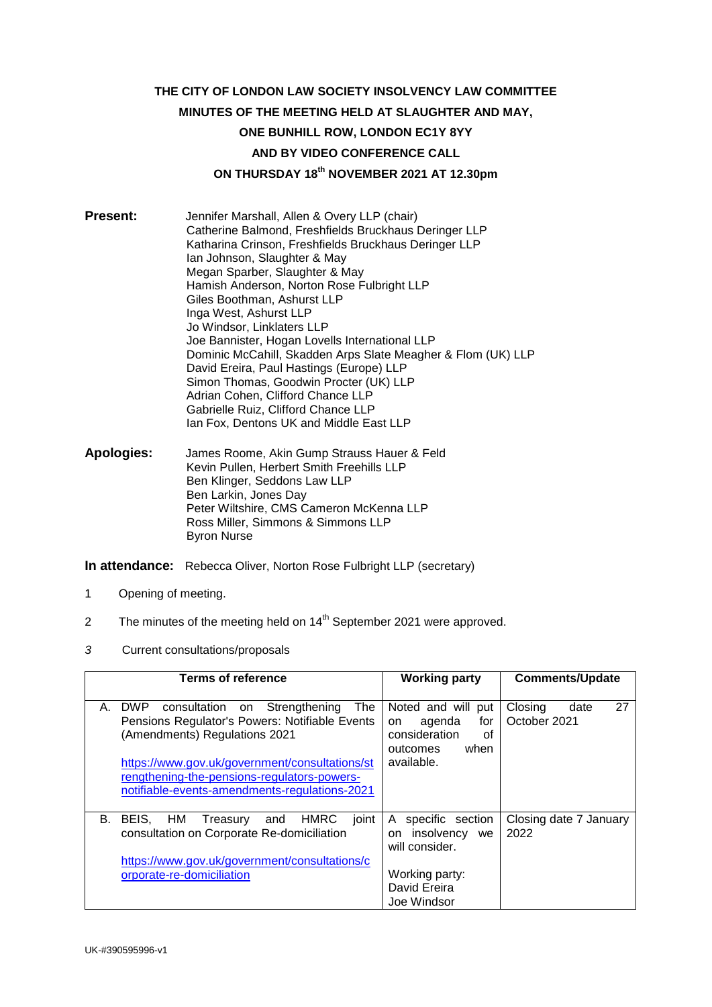# **THE CITY OF LONDON LAW SOCIETY INSOLVENCY LAW COMMITTEE MINUTES OF THE MEETING HELD AT SLAUGHTER AND MAY, ONE BUNHILL ROW, LONDON EC1Y 8YY AND BY VIDEO CONFERENCE CALL ON THURSDAY 18th NOVEMBER 2021 AT 12.30pm**

**Present:** Jennifer Marshall, Allen & Overy LLP (chair) Catherine Balmond, Freshfields Bruckhaus Deringer LLP Katharina Crinson, Freshfields Bruckhaus Deringer LLP Ian Johnson, Slaughter & May Megan Sparber, Slaughter & May Hamish Anderson, Norton Rose Fulbright LLP Giles Boothman, Ashurst LLP Inga West, Ashurst LLP Jo Windsor, Linklaters LLP Joe Bannister, Hogan Lovells International LLP Dominic McCahill, Skadden Arps Slate Meagher & Flom (UK) LLP David Ereira, Paul Hastings (Europe) LLP Simon Thomas, Goodwin Procter (UK) LLP Adrian Cohen, Clifford Chance LLP Gabrielle Ruiz, Clifford Chance LLP Ian Fox, Dentons UK and Middle East LLP

**Apologies:** James Roome, Akin Gump Strauss Hauer & Feld Kevin Pullen, Herbert Smith Freehills LLP Ben Klinger, Seddons Law LLP Ben Larkin, Jones Day Peter Wiltshire, CMS Cameron McKenna LLP Ross Miller, Simmons & Simmons LLP Byron Nurse

**In attendance:** Rebecca Oliver, Norton Rose Fulbright LLP (secretary)

- 1 Opening of meeting.
- 2 The minutes of the meeting held on  $14<sup>th</sup>$  September 2021 were approved.
- *3* Current consultations/proposals

| <b>Terms of reference</b>                                                                                                                                                                                                                                                                            | <b>Working party</b>                                                                                  | <b>Comments/Update</b>                |
|------------------------------------------------------------------------------------------------------------------------------------------------------------------------------------------------------------------------------------------------------------------------------------------------------|-------------------------------------------------------------------------------------------------------|---------------------------------------|
| <b>DWP</b><br>consultation on Strengthening<br><b>The</b><br>А.<br>Pensions Regulator's Powers: Notifiable Events<br>(Amendments) Regulations 2021<br>https://www.gov.uk/government/consultations/st<br>rengthening-the-pensions-regulators-powers-<br>notifiable-events-amendments-regulations-2021 | Noted and will<br>put<br>for<br>agenda<br>on<br>consideration<br>Ωf<br>when<br>outcomes<br>available. | Closing<br>27<br>date<br>October 2021 |
| В.<br>BEIS.<br>HM<br><b>HMRC</b><br>joint<br>Treasury<br>and<br>consultation on Corporate Re-domiciliation<br>https://www.gov.uk/government/consultations/c<br>orporate-re-domiciliation                                                                                                             | specific section<br>A<br>insolvency we<br>on.<br>will consider.<br>Working party:<br>David Ereira     | Closing date 7 January<br>2022        |
|                                                                                                                                                                                                                                                                                                      | Joe Windsor                                                                                           |                                       |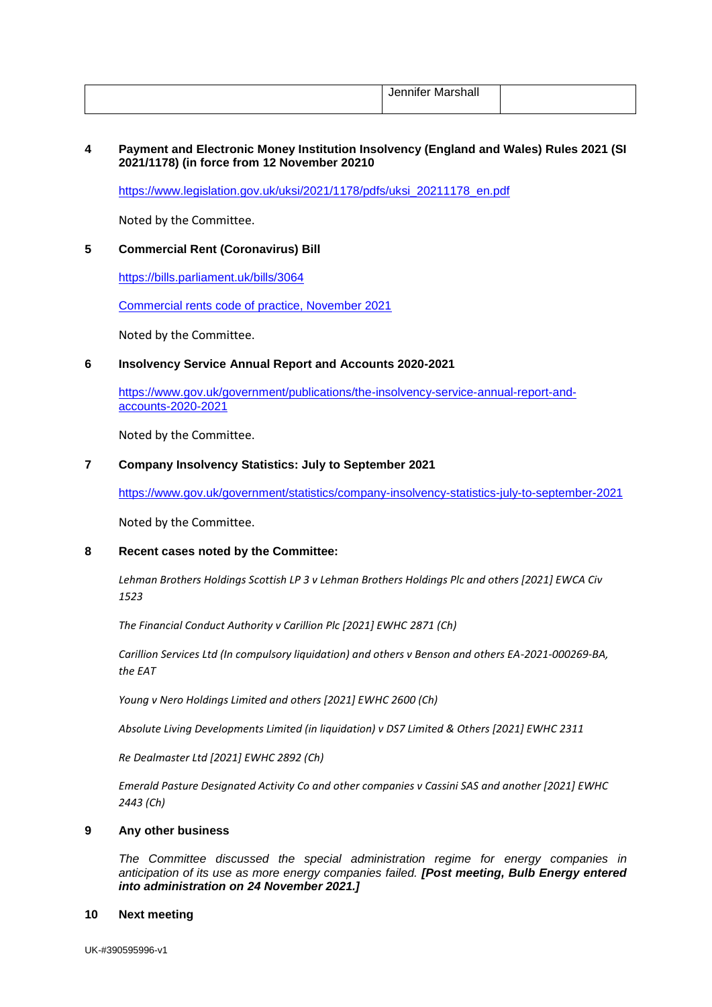| <br>.<br>---<br>---<br>.<br>iviar<br>лшшел<br>∸<br>ડાાત્રાા |  |
|-------------------------------------------------------------|--|
|                                                             |  |

## **4 Payment and Electronic Money Institution Insolvency (England and Wales) Rules 2021 (SI 2021/1178) (in force from 12 November 20210**

[https://www.legislation.gov.uk/uksi/2021/1178/pdfs/uksi\\_20211178\\_en.pdf](https://www.legislation.gov.uk/uksi/2021/1178/pdfs/uksi_20211178_en.pdf)

Noted by the Committee.

## **5 Commercial Rent (Coronavirus) Bill**

<https://bills.parliament.uk/bills/3064>

[Commercial rents code of practice, November 2021](https://www.gov.uk/government/publications/commercial-rents-code-of-practice-november-2021)

Noted by the Committee.

### **6 Insolvency Service Annual Report and Accounts 2020-2021**

[https://www.gov.uk/government/publications/the-insolvency-service-annual-report-and](https://www.gov.uk/government/publications/the-insolvency-service-annual-report-and-accounts-2020-2021)[accounts-2020-2021](https://www.gov.uk/government/publications/the-insolvency-service-annual-report-and-accounts-2020-2021)

Noted by the Committee.

# **7 Company Insolvency Statistics: July to September 2021**

<https://www.gov.uk/government/statistics/company-insolvency-statistics-july-to-september-2021>

Noted by the Committee.

# **8 Recent cases noted by the Committee:**

*Lehman Brothers Holdings Scottish LP 3 v Lehman Brothers Holdings Plc and others [2021] EWCA Civ 1523*

*The Financial Conduct Authority v Carillion Plc [2021] EWHC 2871 (Ch)*

*Carillion Services Ltd (In compulsory liquidation) and others v Benson and others EA-2021-000269-BA, the EAT* 

*Young v Nero Holdings Limited and others [2021] EWHC 2600 (Ch)* 

*Absolute Living Developments Limited (in liquidation) v DS7 Limited & Others [2021] EWHC 2311* 

*Re Dealmaster Ltd [2021] EWHC 2892 (Ch)*

*Emerald Pasture Designated Activity Co and other companies v Cassini SAS and another [2021] EWHC 2443 (Ch)*

#### **9 Any other business**

*The Committee discussed the special administration regime for energy companies in anticipation of its use as more energy companies failed. [Post meeting, Bulb Energy entered into administration on 24 November 2021.]*

#### **10 Next meeting**